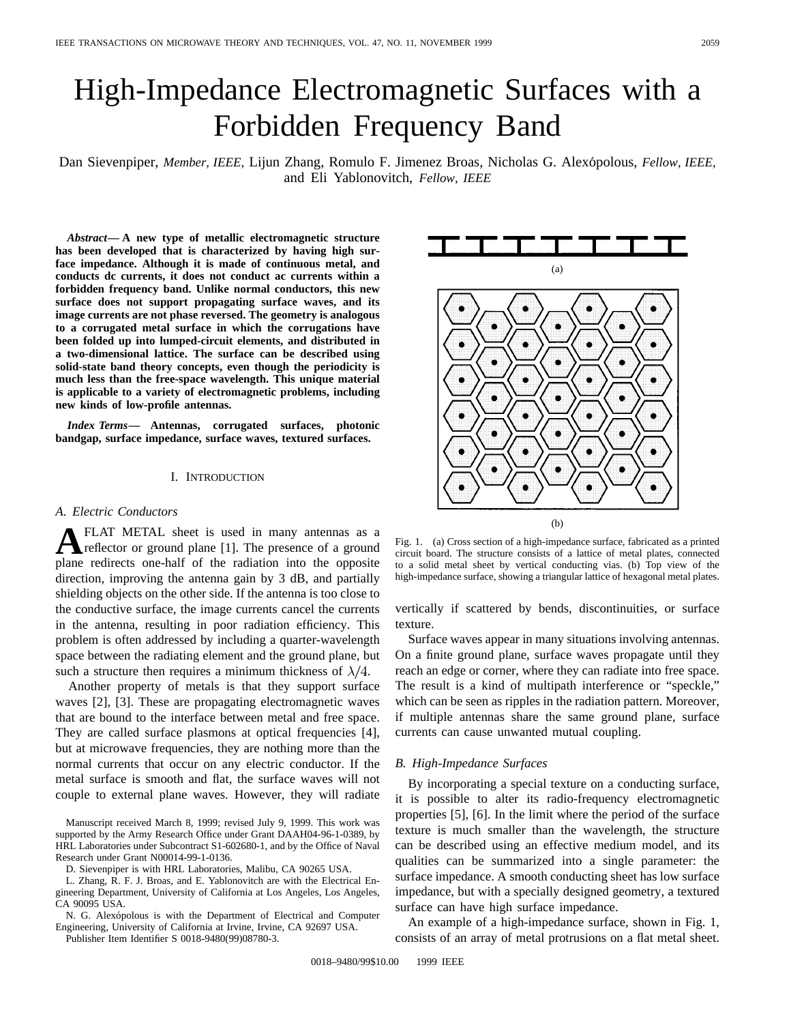# High-Impedance Electromagnetic Surfaces with a Forbidden Frequency Band

Dan Sievenpiper, *Member, IEEE, Lijun Zhang, Romulo F. Jimenez Broas, Nicholas G. Alexópolous, Fellow, IEEE,* and Eli Yablonovitch, *Fellow, IEEE*

*Abstract—* **A new type of metallic electromagnetic structure has been developed that is characterized by having high surface impedance. Although it is made of continuous metal, and conducts dc currents, it does not conduct ac currents within a forbidden frequency band. Unlike normal conductors, this new surface does not support propagating surface waves, and its image currents are not phase reversed. The geometry is analogous to a corrugated metal surface in which the corrugations have been folded up into lumped-circuit elements, and distributed in a two-dimensional lattice. The surface can be described using solid-state band theory concepts, even though the periodicity is much less than the free-space wavelength. This unique material is applicable to a variety of electromagnetic problems, including new kinds of low-profile antennas.**

*Index Terms—* **Antennas, corrugated surfaces, photonic bandgap, surface impedance, surface waves, textured surfaces.**

## I. INTRODUCTION

## *A. Electric Conductors*

**A**FLAT METAL sheet is used in many antennas as a redeficitor or ground plane [1]. The presence of a ground plane redirects one-half of the radiation into the opposite direction, improving the antenna gain by 3 dB, and partially shielding objects on the other side. If the antenna is too close to the conductive surface, the image currents cancel the currents in the antenna, resulting in poor radiation efficiency. This problem is often addressed by including a quarter-wavelength space between the radiating element and the ground plane, but such a structure then requires a minimum thickness of  $\lambda/4$ .

Another property of metals is that they support surface waves [2], [3]. These are propagating electromagnetic waves that are bound to the interface between metal and free space. They are called surface plasmons at optical frequencies [4], but at microwave frequencies, they are nothing more than the normal currents that occur on any electric conductor. If the metal surface is smooth and flat, the surface waves will not couple to external plane waves. However, they will radiate

Manuscript received March 8, 1999; revised July 9, 1999. This work was supported by the Army Research Office under Grant DAAH04-96-1-0389, by HRL Laboratories under Subcontract S1-602680-1, and by the Office of Naval Research under Grant N00014-99-1-0136.

D. Sievenpiper is with HRL Laboratories, Malibu, CA 90265 USA.

L. Zhang, R. F. J. Broas, and E. Yablonovitch are with the Electrical Engineering Department, University of California at Los Angeles, Los Angeles, CA 90095 USA.

N. G. Alexópolous is with the Department of Electrical and Computer Engineering, University of California at Irvine, Irvine, CA 92697 USA.

Publisher Item Identifier S 0018-9480(99)08780-3.

(a) (b)

Fig. 1. (a) Cross section of a high-impedance surface, fabricated as a printed circuit board. The structure consists of a lattice of metal plates, connected to a solid metal sheet by vertical conducting vias. (b) Top view of the high-impedance surface, showing a triangular lattice of hexagonal metal plates.

vertically if scattered by bends, discontinuities, or surface texture.

Surface waves appear in many situations involving antennas. On a finite ground plane, surface waves propagate until they reach an edge or corner, where they can radiate into free space. The result is a kind of multipath interference or "speckle," which can be seen as ripples in the radiation pattern. Moreover, if multiple antennas share the same ground plane, surface currents can cause unwanted mutual coupling.

#### *B. High-Impedance Surfaces*

By incorporating a special texture on a conducting surface, it is possible to alter its radio-frequency electromagnetic properties [5], [6]. In the limit where the period of the surface texture is much smaller than the wavelength, the structure can be described using an effective medium model, and its qualities can be summarized into a single parameter: the surface impedance. A smooth conducting sheet has low surface impedance, but with a specially designed geometry, a textured surface can have high surface impedance.

An example of a high-impedance surface, shown in Fig. 1, consists of an array of metal protrusions on a flat metal sheet.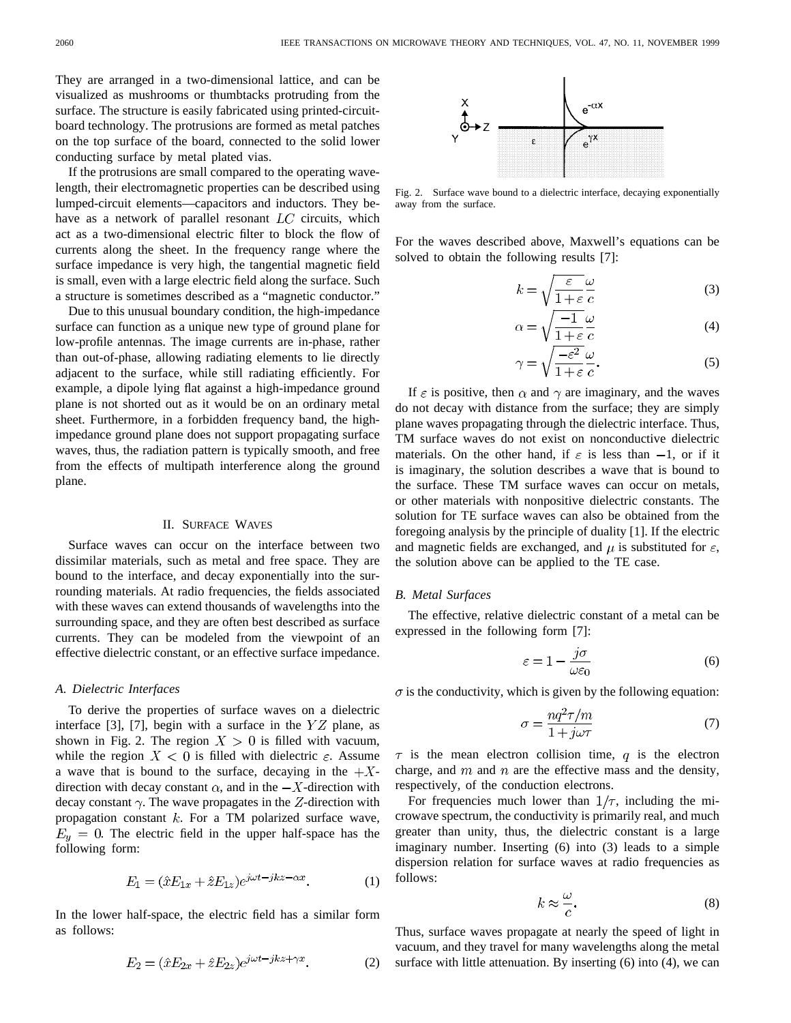They are arranged in a two-dimensional lattice, and can be visualized as mushrooms or thumbtacks protruding from the surface. The structure is easily fabricated using printed-circuitboard technology. The protrusions are formed as metal patches on the top surface of the board, connected to the solid lower conducting surface by metal plated vias.

If the protrusions are small compared to the operating wavelength, their electromagnetic properties can be described using lumped-circuit elements—capacitors and inductors. They behave as a network of parallel resonant  $LC$  circuits, which act as a two-dimensional electric filter to block the flow of currents along the sheet. In the frequency range where the surface impedance is very high, the tangential magnetic field is small, even with a large electric field along the surface. Such a structure is sometimes described as a "magnetic conductor."

Due to this unusual boundary condition, the high-impedance surface can function as a unique new type of ground plane for low-profile antennas. The image currents are in-phase, rather than out-of-phase, allowing radiating elements to lie directly adjacent to the surface, while still radiating efficiently. For example, a dipole lying flat against a high-impedance ground plane is not shorted out as it would be on an ordinary metal sheet. Furthermore, in a forbidden frequency band, the highimpedance ground plane does not support propagating surface waves, thus, the radiation pattern is typically smooth, and free from the effects of multipath interference along the ground plane.

## II. SURFACE WAVES

Surface waves can occur on the interface between two dissimilar materials, such as metal and free space. They are bound to the interface, and decay exponentially into the surrounding materials. At radio frequencies, the fields associated with these waves can extend thousands of wavelengths into the surrounding space, and they are often best described as surface currents. They can be modeled from the viewpoint of an effective dielectric constant, or an effective surface impedance.

#### *A. Dielectric Interfaces*

To derive the properties of surface waves on a dielectric interface [3], [7], begin with a surface in the  $YZ$  plane, as shown in Fig. 2. The region  $X > 0$  is filled with vacuum, while the region  $X < 0$  is filled with dielectric  $\varepsilon$ . Assume a wave that is bound to the surface, decaying in the  $+X$ direction with decay constant  $\alpha$ , and in the  $-X$ -direction with decay constant  $\gamma$ . The wave propagates in the Z-direction with propagation constant  $k$ . For a TM polarized surface wave,  $E_y = 0$ . The electric field in the upper half-space has the following form:

$$
E_1 = (\hat{x}E_{1x} + \hat{z}E_{1z})e^{j\omega t - jkz - \alpha x}.\tag{1}
$$

In the lower half-space, the electric field has a similar form as follows:

$$
E_2 = (\hat{x}E_{2x} + \hat{z}E_{2z})e^{j\omega t - jkz + \gamma x}.\tag{2}
$$



Fig. 2. Surface wave bound to a dielectric interface, decaying exponentially away from the surface.

For the waves described above, Maxwell's equations can be solved to obtain the following results [7]:

$$
k = \sqrt{\frac{\varepsilon}{1 + \varepsilon}} \frac{\omega}{c} \tag{3}
$$

$$
\alpha = \sqrt{\frac{-1}{1+\varepsilon}} \frac{\omega}{c} \tag{4}
$$

$$
\gamma = \sqrt{\frac{-\varepsilon^2}{1+\varepsilon}} \frac{\omega}{c}.\tag{5}
$$

If  $\epsilon$  is positive, then  $\alpha$  and  $\gamma$  are imaginary, and the waves do not decay with distance from the surface; they are simply plane waves propagating through the dielectric interface. Thus, TM surface waves do not exist on nonconductive dielectric materials. On the other hand, if  $\varepsilon$  is less than  $-1$ , or if it is imaginary, the solution describes a wave that is bound to the surface. These TM surface waves can occur on metals, or other materials with nonpositive dielectric constants. The solution for TE surface waves can also be obtained from the foregoing analysis by the principle of duality [1]. If the electric and magnetic fields are exchanged, and  $\mu$  is substituted for  $\varepsilon$ , the solution above can be applied to the TE case.

## *B. Metal Surfaces*

The effective, relative dielectric constant of a metal can be expressed in the following form [7]:

$$
\varepsilon = 1 - \frac{j\sigma}{\omega \varepsilon_0} \tag{6}
$$

 $\sigma$  is the conductivity, which is given by the following equation:

$$
\sigma = \frac{nq^2\tau/m}{1 + j\omega\tau} \tag{7}
$$

 $\tau$  is the mean electron collision time, q is the electron charge, and  $m$  and  $n$  are the effective mass and the density, respectively, of the conduction electrons.

For frequencies much lower than  $1/\tau$ , including the microwave spectrum, the conductivity is primarily real, and much greater than unity, thus, the dielectric constant is a large imaginary number. Inserting (6) into (3) leads to a simple dispersion relation for surface waves at radio frequencies as follows:

$$
k \approx \frac{\omega}{c}.\tag{8}
$$

Thus, surface waves propagate at nearly the speed of light in vacuum, and they travel for many wavelengths along the metal surface with little attenuation. By inserting (6) into (4), we can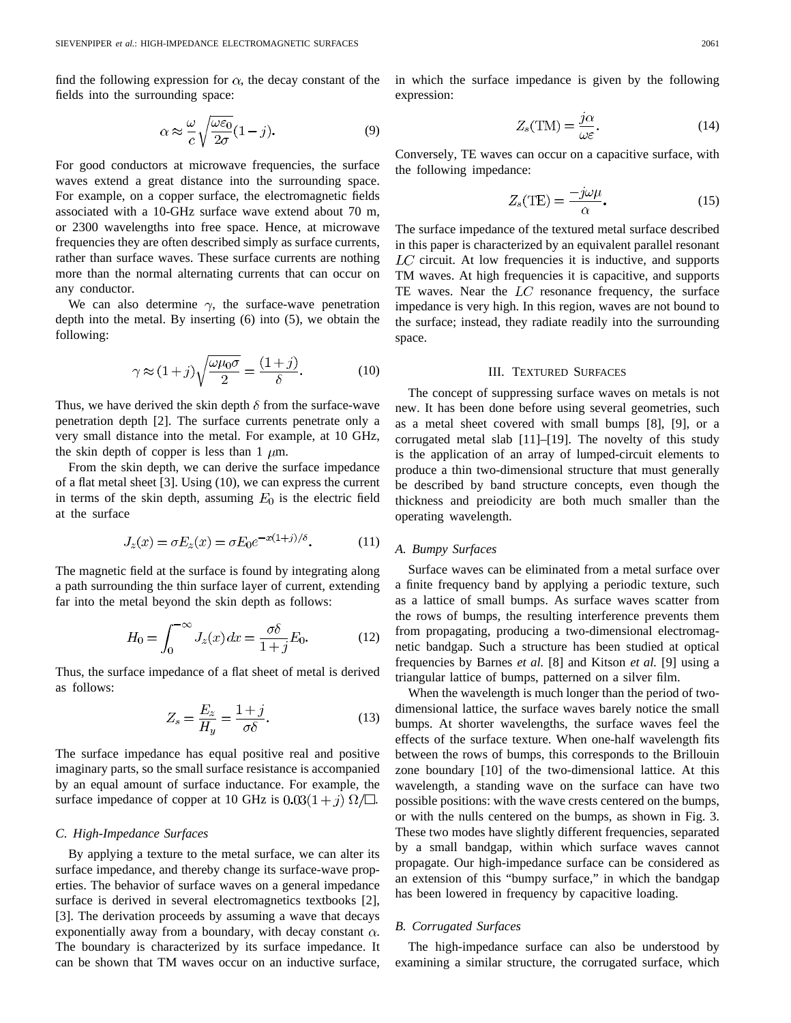find the following expression for  $\alpha$ , the decay constant of the fields into the surrounding space:

$$
\alpha \approx \frac{\omega}{c} \sqrt{\frac{\omega \varepsilon_0}{2\sigma}} (1 - j). \tag{9}
$$

For good conductors at microwave frequencies, the surface waves extend a great distance into the surrounding space. For example, on a copper surface, the electromagnetic fields associated with a 10-GHz surface wave extend about 70 m, or 2300 wavelengths into free space. Hence, at microwave frequencies they are often described simply as surface currents, rather than surface waves. These surface currents are nothing more than the normal alternating currents that can occur on any conductor.

We can also determine  $\gamma$ , the surface-wave penetration depth into the metal. By inserting (6) into (5), we obtain the following:

$$
\gamma \approx (1+j)\sqrt{\frac{\omega\mu_0 \sigma}{2}} = \frac{(1+j)}{\delta}.
$$
 (10)

Thus, we have derived the skin depth  $\delta$  from the surface-wave penetration depth [2]. The surface currents penetrate only a very small distance into the metal. For example, at 10 GHz, the skin depth of copper is less than 1  $\mu$ m.

From the skin depth, we can derive the surface impedance of a flat metal sheet [3]. Using (10), we can express the current in terms of the skin depth, assuming  $E_0$  is the electric field at the surface

$$
J_z(x) = \sigma E_z(x) = \sigma E_0 e^{-x(1+j)/\delta}.
$$
 (11)

The magnetic field at the surface is found by integrating along a path surrounding the thin surface layer of current, extending far into the metal beyond the skin depth as follows:

$$
H_0 = \int_0^{-\infty} J_z(x) dx = \frac{\sigma \delta}{1+j} E_0.
$$
 (12)

Thus, the surface impedance of a flat sheet of metal is derived as follows:

$$
Z_s = \frac{E_z}{H_y} = \frac{1+j}{\sigma \delta}.
$$
 (13)

The surface impedance has equal positive real and positive imaginary parts, so the small surface resistance is accompanied by an equal amount of surface inductance. For example, the surface impedance of copper at 10 GHz is  $0.03(1+j)$   $\Omega/\square$ .

#### *C. High-Impedance Surfaces*

By applying a texture to the metal surface, we can alter its surface impedance, and thereby change its surface-wave properties. The behavior of surface waves on a general impedance surface is derived in several electromagnetics textbooks [2], [3]. The derivation proceeds by assuming a wave that decays exponentially away from a boundary, with decay constant  $\alpha$ . The boundary is characterized by its surface impedance. It can be shown that TM waves occur on an inductive surface,

in which the surface impedance is given by the following expression:

$$
Z_s(\text{TM}) = \frac{j\alpha}{\omega\varepsilon}.
$$
 (14)

Conversely, TE waves can occur on a capacitive surface, with the following impedance:

$$
Z_s(\text{TE}) = \frac{-j\omega\mu}{\alpha}.\tag{15}
$$

The surface impedance of the textured metal surface described in this paper is characterized by an equivalent parallel resonant  $LC$  circuit. At low frequencies it is inductive, and supports TM waves. At high frequencies it is capacitive, and supports TE waves. Near the  $LC$  resonance frequency, the surface impedance is very high. In this region, waves are not bound to the surface; instead, they radiate readily into the surrounding space.

### III. TEXTURED SURFACES

The concept of suppressing surface waves on metals is not new. It has been done before using several geometries, such as a metal sheet covered with small bumps [8], [9], or a corrugated metal slab [11]–[19]. The novelty of this study is the application of an array of lumped-circuit elements to produce a thin two-dimensional structure that must generally be described by band structure concepts, even though the thickness and preiodicity are both much smaller than the operating wavelength.

## *A. Bumpy Surfaces*

Surface waves can be eliminated from a metal surface over a finite frequency band by applying a periodic texture, such as a lattice of small bumps. As surface waves scatter from the rows of bumps, the resulting interference prevents them from propagating, producing a two-dimensional electromagnetic bandgap. Such a structure has been studied at optical frequencies by Barnes *et al.* [8] and Kitson *et al.* [9] using a triangular lattice of bumps, patterned on a silver film.

When the wavelength is much longer than the period of twodimensional lattice, the surface waves barely notice the small bumps. At shorter wavelengths, the surface waves feel the effects of the surface texture. When one-half wavelength fits between the rows of bumps, this corresponds to the Brillouin zone boundary [10] of the two-dimensional lattice. At this wavelength, a standing wave on the surface can have two possible positions: with the wave crests centered on the bumps, or with the nulls centered on the bumps, as shown in Fig. 3. These two modes have slightly different frequencies, separated by a small bandgap, within which surface waves cannot propagate. Our high-impedance surface can be considered as an extension of this "bumpy surface," in which the bandgap has been lowered in frequency by capacitive loading.

#### *B. Corrugated Surfaces*

The high-impedance surface can also be understood by examining a similar structure, the corrugated surface, which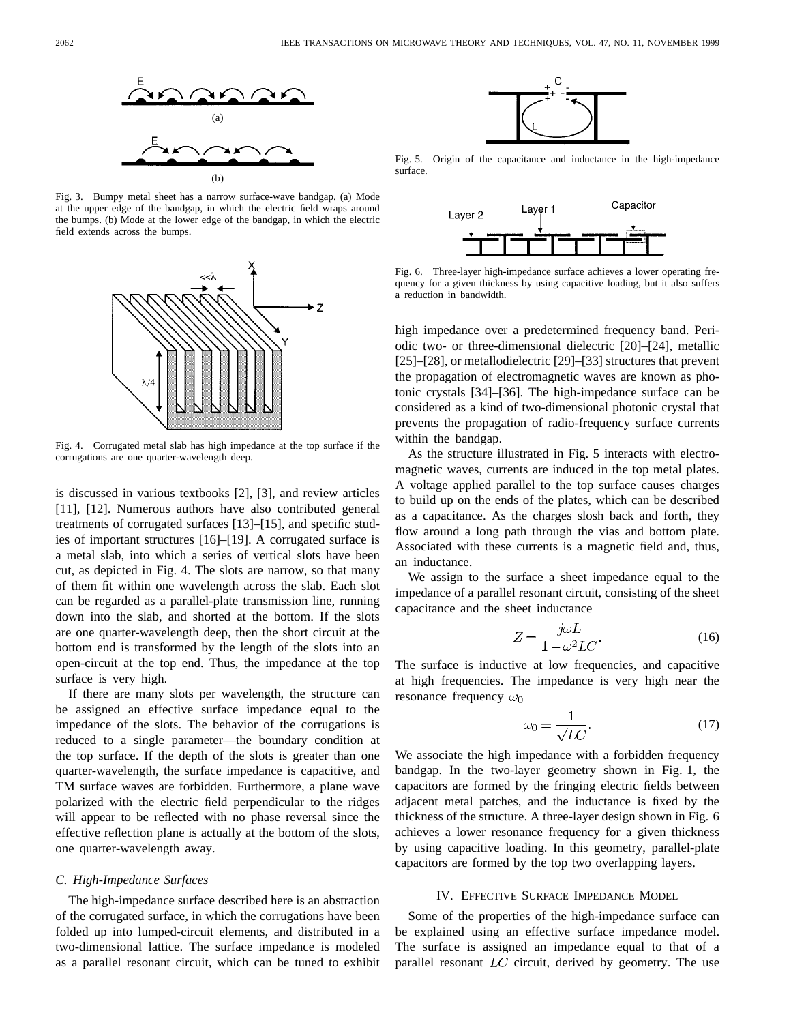

Fig. 3. Bumpy metal sheet has a narrow surface-wave bandgap. (a) Mode at the upper edge of the bandgap, in which the electric field wraps around the bumps. (b) Mode at the lower edge of the bandgap, in which the electric field extends across the bumps.



Fig. 4. Corrugated metal slab has high impedance at the top surface if the corrugations are one quarter-wavelength deep.

is discussed in various textbooks [2], [3], and review articles [11], [12]. Numerous authors have also contributed general treatments of corrugated surfaces [13]–[15], and specific studies of important structures [16]–[19]. A corrugated surface is a metal slab, into which a series of vertical slots have been cut, as depicted in Fig. 4. The slots are narrow, so that many of them fit within one wavelength across the slab. Each slot can be regarded as a parallel-plate transmission line, running down into the slab, and shorted at the bottom. If the slots are one quarter-wavelength deep, then the short circuit at the bottom end is transformed by the length of the slots into an open-circuit at the top end. Thus, the impedance at the top surface is very high.

If there are many slots per wavelength, the structure can be assigned an effective surface impedance equal to the impedance of the slots. The behavior of the corrugations is reduced to a single parameter—the boundary condition at the top surface. If the depth of the slots is greater than one quarter-wavelength, the surface impedance is capacitive, and TM surface waves are forbidden. Furthermore, a plane wave polarized with the electric field perpendicular to the ridges will appear to be reflected with no phase reversal since the effective reflection plane is actually at the bottom of the slots, one quarter-wavelength away.

## *C. High-Impedance Surfaces*

The high-impedance surface described here is an abstraction of the corrugated surface, in which the corrugations have been folded up into lumped-circuit elements, and distributed in a two-dimensional lattice. The surface impedance is modeled as a parallel resonant circuit, which can be tuned to exhibit



Fig. 5. Origin of the capacitance and inductance in the high-impedance surface.



Fig. 6. Three-layer high-impedance surface achieves a lower operating frequency for a given thickness by using capacitive loading, but it also suffers a reduction in bandwidth.

high impedance over a predetermined frequency band. Periodic two- or three-dimensional dielectric [20]–[24], metallic [25]–[28], or metallodielectric [29]–[33] structures that prevent the propagation of electromagnetic waves are known as photonic crystals [34]–[36]. The high-impedance surface can be considered as a kind of two-dimensional photonic crystal that prevents the propagation of radio-frequency surface currents within the bandgap.

As the structure illustrated in Fig. 5 interacts with electromagnetic waves, currents are induced in the top metal plates. A voltage applied parallel to the top surface causes charges to build up on the ends of the plates, which can be described as a capacitance. As the charges slosh back and forth, they flow around a long path through the vias and bottom plate. Associated with these currents is a magnetic field and, thus, an inductance.

We assign to the surface a sheet impedance equal to the impedance of a parallel resonant circuit, consisting of the sheet capacitance and the sheet inductance

$$
Z = \frac{j\omega L}{1 - \omega^2 LC}.\tag{16}
$$

The surface is inductive at low frequencies, and capacitive at high frequencies. The impedance is very high near the resonance frequency  $\omega_0$ 

$$
\omega_0 = \frac{1}{\sqrt{LC}}.\tag{17}
$$

We associate the high impedance with a forbidden frequency bandgap. In the two-layer geometry shown in Fig. 1, the capacitors are formed by the fringing electric fields between adjacent metal patches, and the inductance is fixed by the thickness of the structure. A three-layer design shown in Fig. 6 achieves a lower resonance frequency for a given thickness by using capacitive loading. In this geometry, parallel-plate capacitors are formed by the top two overlapping layers.

#### IV. EFFECTIVE SURFACE IMPEDANCE MODEL

Some of the properties of the high-impedance surface can be explained using an effective surface impedance model. The surface is assigned an impedance equal to that of a parallel resonant  $LC$  circuit, derived by geometry. The use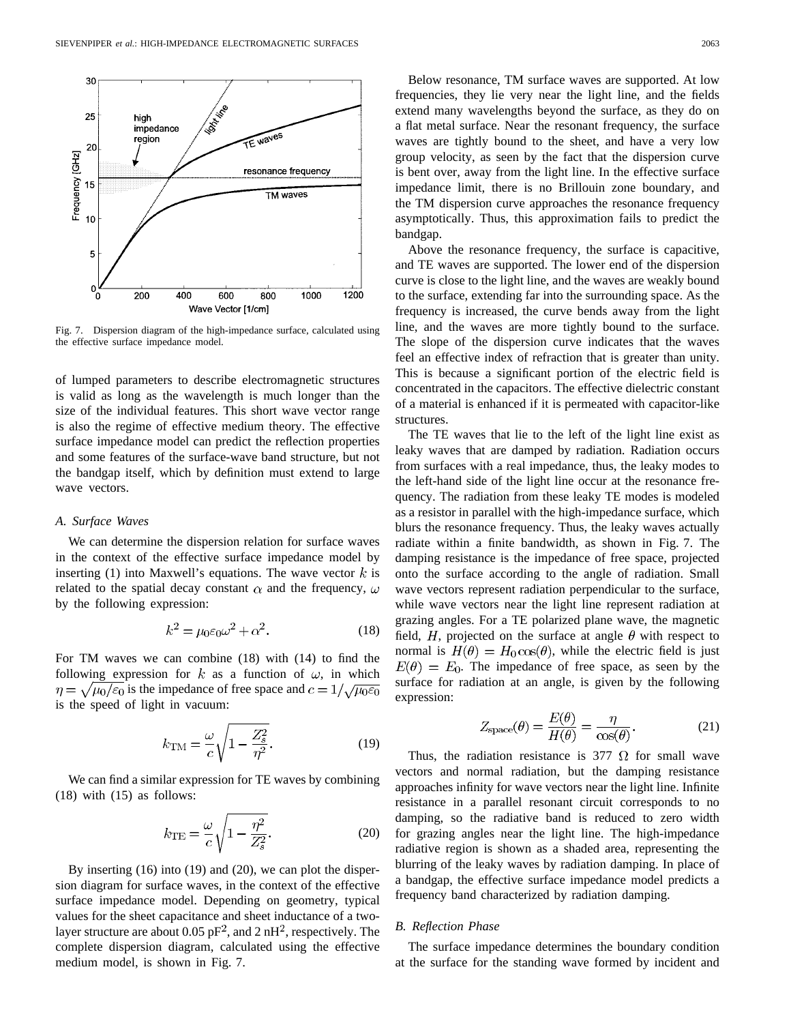

Fig. 7. Dispersion diagram of the high-impedance surface, calculated using the effective surface impedance model.

of lumped parameters to describe electromagnetic structures is valid as long as the wavelength is much longer than the size of the individual features. This short wave vector range is also the regime of effective medium theory. The effective surface impedance model can predict the reflection properties and some features of the surface-wave band structure, but not the bandgap itself, which by definition must extend to large wave vectors.

#### *A. Surface Waves*

We can determine the dispersion relation for surface waves in the context of the effective surface impedance model by inserting (1) into Maxwell's equations. The wave vector  $k$  is related to the spatial decay constant  $\alpha$  and the frequency,  $\omega$ by the following expression:

$$
k^2 = \mu_0 \varepsilon_0 \omega^2 + \alpha^2. \tag{18}
$$

For TM waves we can combine (18) with (14) to find the following expression for k as a function of  $\omega$ , in which  $\eta = \sqrt{\mu_0/\epsilon_0}$  is the impedance of free space and  $c = 1/\sqrt{\mu_0 \epsilon_0}$ is the speed of light in vacuum:

$$
k_{\rm TM} = \frac{\omega}{c} \sqrt{1 - \frac{Z_s^2}{\eta^2}}.
$$
 (19)

We can find a similar expression for TE waves by combining (18) with (15) as follows:

$$
k_{\rm TE} = \frac{\omega}{c} \sqrt{1 - \frac{\eta^2}{Z_s^2}}.
$$
 (20)

By inserting (16) into (19) and (20), we can plot the dispersion diagram for surface waves, in the context of the effective surface impedance model. Depending on geometry, typical values for the sheet capacitance and sheet inductance of a twolayer structure are about 0.05  $pF^2$ , and 2 nH<sup>2</sup>, respectively. The complete dispersion diagram, calculated using the effective medium model, is shown in Fig. 7.

Below resonance, TM surface waves are supported. At low frequencies, they lie very near the light line, and the fields extend many wavelengths beyond the surface, as they do on a flat metal surface. Near the resonant frequency, the surface waves are tightly bound to the sheet, and have a very low group velocity, as seen by the fact that the dispersion curve is bent over, away from the light line. In the effective surface impedance limit, there is no Brillouin zone boundary, and the TM dispersion curve approaches the resonance frequency asymptotically. Thus, this approximation fails to predict the bandgap.

Above the resonance frequency, the surface is capacitive, and TE waves are supported. The lower end of the dispersion curve is close to the light line, and the waves are weakly bound to the surface, extending far into the surrounding space. As the frequency is increased, the curve bends away from the light line, and the waves are more tightly bound to the surface. The slope of the dispersion curve indicates that the waves feel an effective index of refraction that is greater than unity. This is because a significant portion of the electric field is concentrated in the capacitors. The effective dielectric constant of a material is enhanced if it is permeated with capacitor-like structures.

The TE waves that lie to the left of the light line exist as leaky waves that are damped by radiation. Radiation occurs from surfaces with a real impedance, thus, the leaky modes to the left-hand side of the light line occur at the resonance frequency. The radiation from these leaky TE modes is modeled as a resistor in parallel with the high-impedance surface, which blurs the resonance frequency. Thus, the leaky waves actually radiate within a finite bandwidth, as shown in Fig. 7. The damping resistance is the impedance of free space, projected onto the surface according to the angle of radiation. Small wave vectors represent radiation perpendicular to the surface, while wave vectors near the light line represent radiation at grazing angles. For a TE polarized plane wave, the magnetic field, H, projected on the surface at angle  $\theta$  with respect to normal is  $H(\theta) = H_0 \cos(\theta)$ , while the electric field is just  $E(\theta) = E_0$ . The impedance of free space, as seen by the surface for radiation at an angle, is given by the following expression:

$$
Z_{\text{space}}(\theta) = \frac{E(\theta)}{H(\theta)} = \frac{\eta}{\cos(\theta)}.
$$
 (21)

Thus, the radiation resistance is 377  $\Omega$  for small wave vectors and normal radiation, but the damping resistance approaches infinity for wave vectors near the light line. Infinite resistance in a parallel resonant circuit corresponds to no damping, so the radiative band is reduced to zero width for grazing angles near the light line. The high-impedance radiative region is shown as a shaded area, representing the blurring of the leaky waves by radiation damping. In place of a bandgap, the effective surface impedance model predicts a frequency band characterized by radiation damping.

#### *B. Reflection Phase*

The surface impedance determines the boundary condition at the surface for the standing wave formed by incident and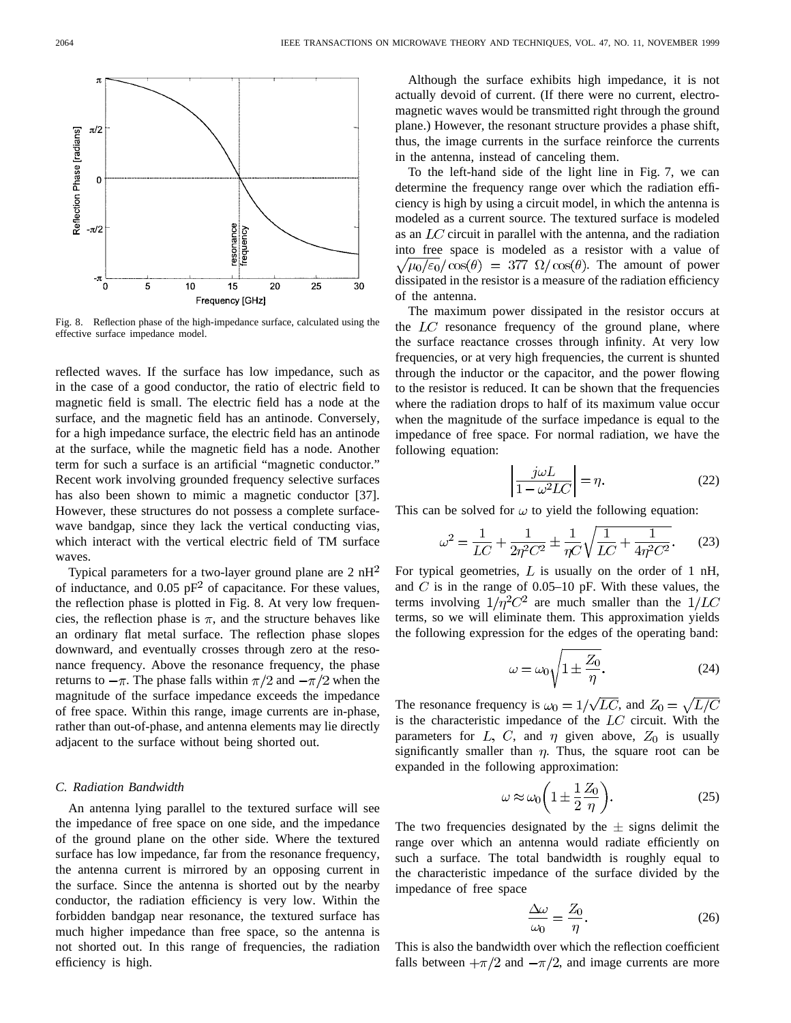

Fig. 8. Reflection phase of the high-impedance surface, calculated using the effective surface impedance model.

reflected waves. If the surface has low impedance, such as in the case of a good conductor, the ratio of electric field to magnetic field is small. The electric field has a node at the surface, and the magnetic field has an antinode. Conversely, for a high impedance surface, the electric field has an antinode at the surface, while the magnetic field has a node. Another term for such a surface is an artificial "magnetic conductor." Recent work involving grounded frequency selective surfaces has also been shown to mimic a magnetic conductor [37]. However, these structures do not possess a complete surfacewave bandgap, since they lack the vertical conducting vias, which interact with the vertical electric field of TM surface waves.

Typical parameters for a two-layer ground plane are 2  $nH<sup>2</sup>$ of inductance, and 0.05  $pF^2$  of capacitance. For these values, the reflection phase is plotted in Fig. 8. At very low frequencies, the reflection phase is  $\pi$ , and the structure behaves like an ordinary flat metal surface. The reflection phase slopes downward, and eventually crosses through zero at the resonance frequency. Above the resonance frequency, the phase returns to  $-\pi$ . The phase falls within  $\pi/2$  and  $-\pi/2$  when the magnitude of the surface impedance exceeds the impedance of free space. Within this range, image currents are in-phase, rather than out-of-phase, and antenna elements may lie directly adjacent to the surface without being shorted out.

## *C. Radiation Bandwidth*

An antenna lying parallel to the textured surface will see the impedance of free space on one side, and the impedance of the ground plane on the other side. Where the textured surface has low impedance, far from the resonance frequency, the antenna current is mirrored by an opposing current in the surface. Since the antenna is shorted out by the nearby conductor, the radiation efficiency is very low. Within the forbidden bandgap near resonance, the textured surface has much higher impedance than free space, so the antenna is not shorted out. In this range of frequencies, the radiation efficiency is high.

Although the surface exhibits high impedance, it is not actually devoid of current. (If there were no current, electromagnetic waves would be transmitted right through the ground plane.) However, the resonant structure provides a phase shift, thus, the image currents in the surface reinforce the currents in the antenna, instead of canceling them.

To the left-hand side of the light line in Fig. 7, we can determine the frequency range over which the radiation efficiency is high by using a circuit model, in which the antenna is modeled as a current source. The textured surface is modeled as an  $LC$  circuit in parallel with the antenna, and the radiation into free space is modeled as a resistor with a value of  $\sqrt{\mu_0/\epsilon_0}/\cos(\theta) = 377 \Omega/\cos(\theta)$ . The amount of power dissipated in the resistor is a measure of the radiation efficiency of the antenna.

The maximum power dissipated in the resistor occurs at the  $LC$  resonance frequency of the ground plane, where the surface reactance crosses through infinity. At very low frequencies, or at very high frequencies, the current is shunted through the inductor or the capacitor, and the power flowing to the resistor is reduced. It can be shown that the frequencies where the radiation drops to half of its maximum value occur when the magnitude of the surface impedance is equal to the impedance of free space. For normal radiation, we have the following equation:

$$
\left| \frac{j\omega L}{1 - \omega^2 LC} \right| = \eta. \tag{22}
$$

This can be solved for  $\omega$  to yield the following equation:

$$
\omega^2 = \frac{1}{LC} + \frac{1}{2\eta^2 C^2} \pm \frac{1}{\eta C} \sqrt{\frac{1}{LC} + \frac{1}{4\eta^2 C^2}}.
$$
 (23)

For typical geometries,  $L$  is usually on the order of 1 nH, and  $C$  is in the range of 0.05–10 pF. With these values, the terms involving  $1/\eta^2 C^2$  are much smaller than the  $1/LC$ terms, so we will eliminate them. This approximation yields the following expression for the edges of the operating band:

$$
\omega = \omega_0 \sqrt{1 \pm \frac{Z_0}{\eta}}.\tag{24}
$$

The resonance frequency is  $\omega_0 = 1/\sqrt{LC}$ , and  $Z_0 = \sqrt{L/C}$ is the characteristic impedance of the  $LC$  circuit. With the parameters for L, C, and  $\eta$  given above,  $Z_0$  is usually significantly smaller than  $\eta$ . Thus, the square root can be expanded in the following approximation:

$$
\omega \approx \omega_0 \bigg( 1 \pm \frac{1}{2} \frac{Z_0}{\eta} \bigg). \tag{25}
$$

The two frequencies designated by the  $\pm$  signs delimit the range over which an antenna would radiate efficiently on such a surface. The total bandwidth is roughly equal to the characteristic impedance of the surface divided by the impedance of free space

$$
\frac{\Delta\omega}{\omega_0} = \frac{Z_0}{\eta}.\tag{26}
$$

This is also the bandwidth over which the reflection coefficient falls between  $+\pi/2$  and  $-\pi/2$ , and image currents are more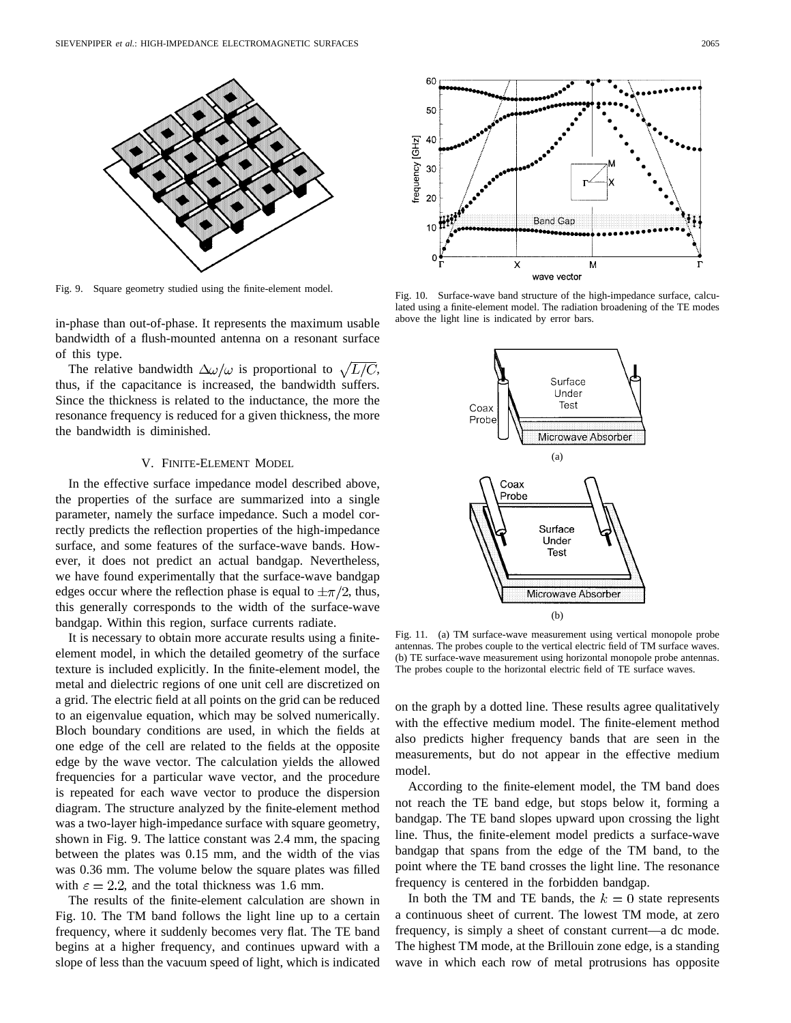

Fig. 9. Square geometry studied using the finite-element model.

in-phase than out-of-phase. It represents the maximum usable bandwidth of a flush-mounted antenna on a resonant surface of this type.

The relative bandwidth  $\Delta\omega/\omega$  is proportional to  $\sqrt{L/C}$ , thus, if the capacitance is increased, the bandwidth suffers. Since the thickness is related to the inductance, the more the resonance frequency is reduced for a given thickness, the more the bandwidth is diminished.

#### V. FINITE-ELEMENT MODEL

In the effective surface impedance model described above, the properties of the surface are summarized into a single parameter, namely the surface impedance. Such a model correctly predicts the reflection properties of the high-impedance surface, and some features of the surface-wave bands. However, it does not predict an actual bandgap. Nevertheless, we have found experimentally that the surface-wave bandgap edges occur where the reflection phase is equal to  $\pm \pi/2$ , thus, this generally corresponds to the width of the surface-wave bandgap. Within this region, surface currents radiate.

It is necessary to obtain more accurate results using a finiteelement model, in which the detailed geometry of the surface texture is included explicitly. In the finite-element model, the metal and dielectric regions of one unit cell are discretized on a grid. The electric field at all points on the grid can be reduced to an eigenvalue equation, which may be solved numerically. Bloch boundary conditions are used, in which the fields at one edge of the cell are related to the fields at the opposite edge by the wave vector. The calculation yields the allowed frequencies for a particular wave vector, and the procedure is repeated for each wave vector to produce the dispersion diagram. The structure analyzed by the finite-element method was a two-layer high-impedance surface with square geometry, shown in Fig. 9. The lattice constant was 2.4 mm, the spacing between the plates was 0.15 mm, and the width of the vias was 0.36 mm. The volume below the square plates was filled with  $\varepsilon = 2.2$ , and the total thickness was 1.6 mm.

The results of the finite-element calculation are shown in Fig. 10. The TM band follows the light line up to a certain frequency, where it suddenly becomes very flat. The TE band begins at a higher frequency, and continues upward with a slope of less than the vacuum speed of light, which is indicated



Fig. 10. Surface-wave band structure of the high-impedance surface, calculated using a finite-element model. The radiation broadening of the TE modes above the light line is indicated by error bars.



Fig. 11. (a) TM surface-wave measurement using vertical monopole probe antennas. The probes couple to the vertical electric field of TM surface waves. (b) TE surface-wave measurement using horizontal monopole probe antennas. The probes couple to the horizontal electric field of TE surface waves.

on the graph by a dotted line. These results agree qualitatively with the effective medium model. The finite-element method also predicts higher frequency bands that are seen in the measurements, but do not appear in the effective medium model.

According to the finite-element model, the TM band does not reach the TE band edge, but stops below it, forming a bandgap. The TE band slopes upward upon crossing the light line. Thus, the finite-element model predicts a surface-wave bandgap that spans from the edge of the TM band, to the point where the TE band crosses the light line. The resonance frequency is centered in the forbidden bandgap.

In both the TM and TE bands, the  $k=0$  state represents a continuous sheet of current. The lowest TM mode, at zero frequency, is simply a sheet of constant current—a dc mode. The highest TM mode, at the Brillouin zone edge, is a standing wave in which each row of metal protrusions has opposite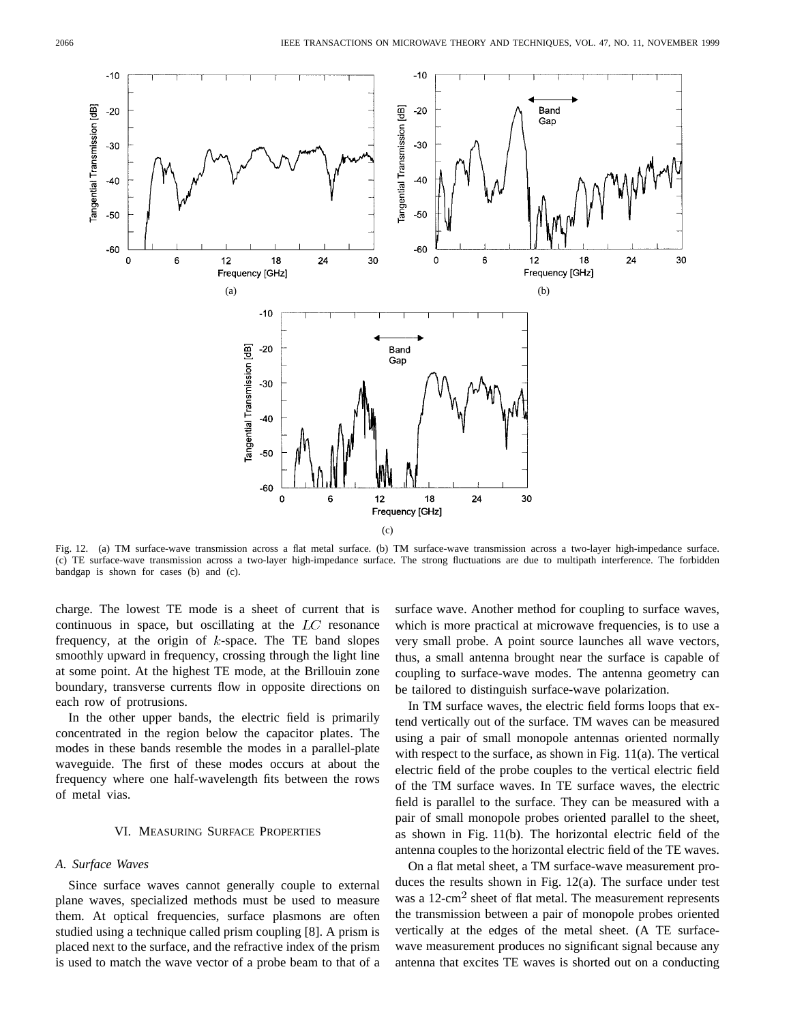

Fig. 12. (a) TM surface-wave transmission across a flat metal surface. (b) TM surface-wave transmission across a two-layer high-impedance surface. (c) TE surface-wave transmission across a two-layer high-impedance surface. The strong fluctuations are due to multipath interference. The forbidden bandgap is shown for cases (b) and (c).

charge. The lowest TE mode is a sheet of current that is continuous in space, but oscillating at the  $LC$  resonance frequency, at the origin of  $k$ -space. The TE band slopes smoothly upward in frequency, crossing through the light line at some point. At the highest TE mode, at the Brillouin zone boundary, transverse currents flow in opposite directions on each row of protrusions.

In the other upper bands, the electric field is primarily concentrated in the region below the capacitor plates. The modes in these bands resemble the modes in a parallel-plate waveguide. The first of these modes occurs at about the frequency where one half-wavelength fits between the rows of metal vias.

## VI. MEASURING SURFACE PROPERTIES

## *A. Surface Waves*

Since surface waves cannot generally couple to external plane waves, specialized methods must be used to measure them. At optical frequencies, surface plasmons are often studied using a technique called prism coupling [8]. A prism is placed next to the surface, and the refractive index of the prism is used to match the wave vector of a probe beam to that of a

surface wave. Another method for coupling to surface waves, which is more practical at microwave frequencies, is to use a very small probe. A point source launches all wave vectors, thus, a small antenna brought near the surface is capable of coupling to surface-wave modes. The antenna geometry can be tailored to distinguish surface-wave polarization.

In TM surface waves, the electric field forms loops that extend vertically out of the surface. TM waves can be measured using a pair of small monopole antennas oriented normally with respect to the surface, as shown in Fig. 11(a). The vertical electric field of the probe couples to the vertical electric field of the TM surface waves. In TE surface waves, the electric field is parallel to the surface. They can be measured with a pair of small monopole probes oriented parallel to the sheet, as shown in Fig. 11(b). The horizontal electric field of the antenna couples to the horizontal electric field of the TE waves.

On a flat metal sheet, a TM surface-wave measurement produces the results shown in Fig. 12(a). The surface under test was a 12-cm<sup>2</sup> sheet of flat metal. The measurement represents the transmission between a pair of monopole probes oriented vertically at the edges of the metal sheet. (A TE surfacewave measurement produces no significant signal because any antenna that excites TE waves is shorted out on a conducting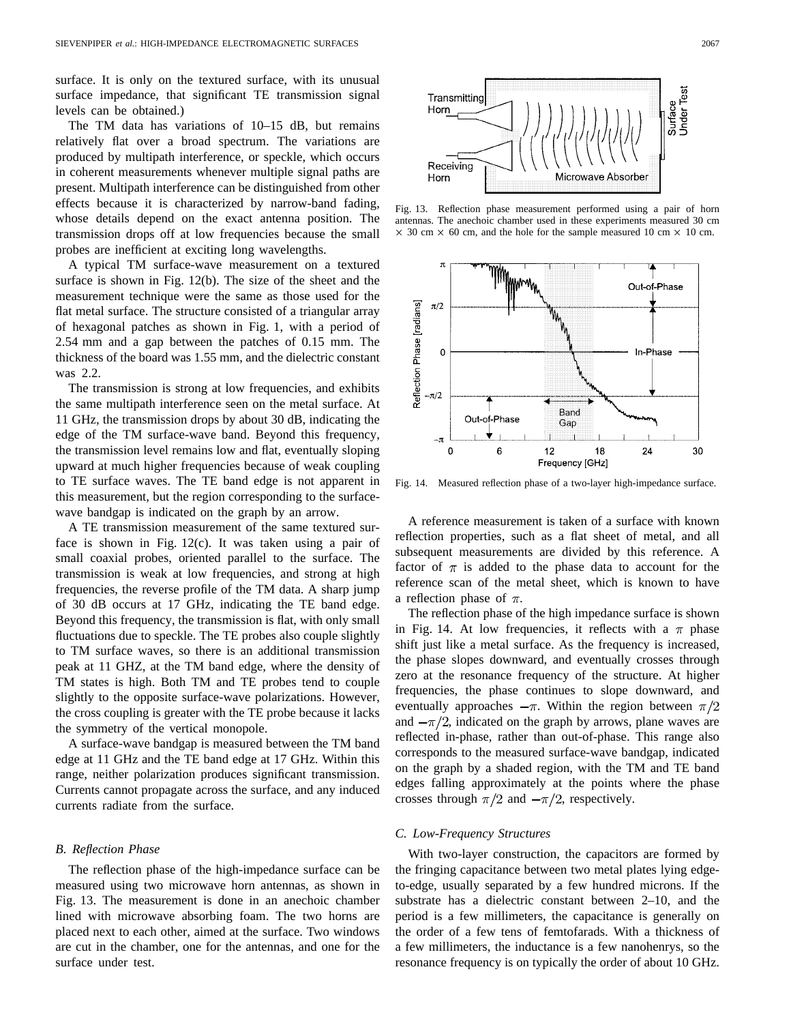surface. It is only on the textured surface, with its unusual surface impedance, that significant TE transmission signal levels can be obtained.)

The TM data has variations of 10–15 dB, but remains relatively flat over a broad spectrum. The variations are produced by multipath interference, or speckle, which occurs in coherent measurements whenever multiple signal paths are present. Multipath interference can be distinguished from other effects because it is characterized by narrow-band fading, whose details depend on the exact antenna position. The transmission drops off at low frequencies because the small probes are inefficient at exciting long wavelengths.

A typical TM surface-wave measurement on a textured surface is shown in Fig. 12(b). The size of the sheet and the measurement technique were the same as those used for the flat metal surface. The structure consisted of a triangular array of hexagonal patches as shown in Fig. 1, with a period of 2.54 mm and a gap between the patches of 0.15 mm. The thickness of the board was 1.55 mm, and the dielectric constant was 2.2.

The transmission is strong at low frequencies, and exhibits the same multipath interference seen on the metal surface. At 11 GHz, the transmission drops by about 30 dB, indicating the edge of the TM surface-wave band. Beyond this frequency, the transmission level remains low and flat, eventually sloping upward at much higher frequencies because of weak coupling to TE surface waves. The TE band edge is not apparent in this measurement, but the region corresponding to the surfacewave bandgap is indicated on the graph by an arrow.

A TE transmission measurement of the same textured surface is shown in Fig. 12(c). It was taken using a pair of small coaxial probes, oriented parallel to the surface. The transmission is weak at low frequencies, and strong at high frequencies, the reverse profile of the TM data. A sharp jump of 30 dB occurs at 17 GHz, indicating the TE band edge. Beyond this frequency, the transmission is flat, with only small fluctuations due to speckle. The TE probes also couple slightly to TM surface waves, so there is an additional transmission peak at 11 GHZ, at the TM band edge, where the density of TM states is high. Both TM and TE probes tend to couple slightly to the opposite surface-wave polarizations. However, the cross coupling is greater with the TE probe because it lacks the symmetry of the vertical monopole.

A surface-wave bandgap is measured between the TM band edge at 11 GHz and the TE band edge at 17 GHz. Within this range, neither polarization produces significant transmission. Currents cannot propagate across the surface, and any induced currents radiate from the surface.

#### *B. Reflection Phase*

The reflection phase of the high-impedance surface can be measured using two microwave horn antennas, as shown in Fig. 13. The measurement is done in an anechoic chamber lined with microwave absorbing foam. The two horns are placed next to each other, aimed at the surface. Two windows are cut in the chamber, one for the antennas, and one for the surface under test.



Fig. 13. Reflection phase measurement performed using a pair of horn antennas. The anechoic chamber used in these experiments measured 30 cm  $\times$  30 cm  $\times$  60 cm, and the hole for the sample measured 10 cm  $\times$  10 cm.



Fig. 14. Measured reflection phase of a two-layer high-impedance surface.

A reference measurement is taken of a surface with known reflection properties, such as a flat sheet of metal, and all subsequent measurements are divided by this reference. A factor of  $\pi$  is added to the phase data to account for the reference scan of the metal sheet, which is known to have a reflection phase of  $\pi$ .

The reflection phase of the high impedance surface is shown in Fig. 14. At low frequencies, it reflects with a  $\pi$  phase shift just like a metal surface. As the frequency is increased, the phase slopes downward, and eventually crosses through zero at the resonance frequency of the structure. At higher frequencies, the phase continues to slope downward, and eventually approaches  $-\pi$ . Within the region between  $\pi/2$ and  $-\pi/2$ , indicated on the graph by arrows, plane waves are reflected in-phase, rather than out-of-phase. This range also corresponds to the measured surface-wave bandgap, indicated on the graph by a shaded region, with the TM and TE band edges falling approximately at the points where the phase crosses through  $\pi/2$  and  $-\pi/2$ , respectively.

## *C. Low-Frequency Structures*

With two-layer construction, the capacitors are formed by the fringing capacitance between two metal plates lying edgeto-edge, usually separated by a few hundred microns. If the substrate has a dielectric constant between 2–10, and the period is a few millimeters, the capacitance is generally on the order of a few tens of femtofarads. With a thickness of a few millimeters, the inductance is a few nanohenrys, so the resonance frequency is on typically the order of about 10 GHz.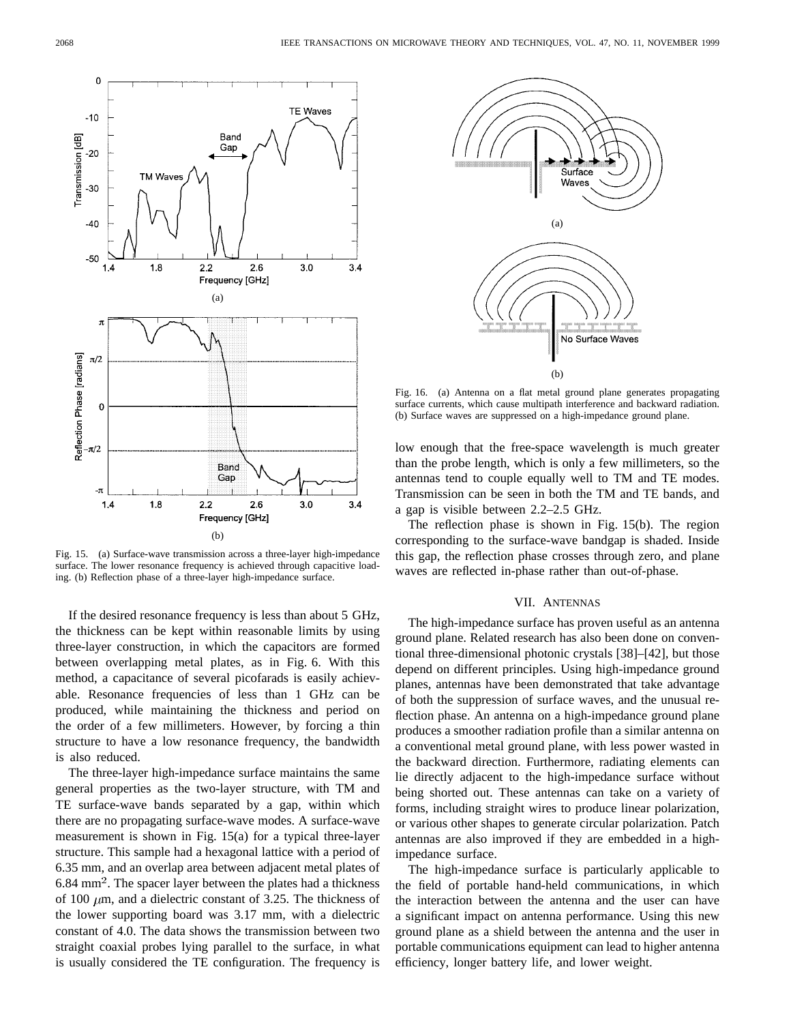

Fig. 15. (a) Surface-wave transmission across a three-layer high-impedance surface. The lower resonance frequency is achieved through capacitive loading. (b) Reflection phase of a three-layer high-impedance surface.

If the desired resonance frequency is less than about 5 GHz, the thickness can be kept within reasonable limits by using three-layer construction, in which the capacitors are formed between overlapping metal plates, as in Fig. 6. With this method, a capacitance of several picofarads is easily achievable. Resonance frequencies of less than 1 GHz can be produced, while maintaining the thickness and period on the order of a few millimeters. However, by forcing a thin structure to have a low resonance frequency, the bandwidth is also reduced.

The three-layer high-impedance surface maintains the same general properties as the two-layer structure, with TM and TE surface-wave bands separated by a gap, within which there are no propagating surface-wave modes. A surface-wave measurement is shown in Fig. 15(a) for a typical three-layer structure. This sample had a hexagonal lattice with a period of 6.35 mm, and an overlap area between adjacent metal plates of  $6.84$  mm<sup>2</sup>. The spacer layer between the plates had a thickness of 100  $\mu$ m, and a dielectric constant of 3.25. The thickness of the lower supporting board was 3.17 mm, with a dielectric constant of 4.0. The data shows the transmission between two straight coaxial probes lying parallel to the surface, in what is usually considered the TE configuration. The frequency is



Fig. 16. (a) Antenna on a flat metal ground plane generates propagating surface currents, which cause multipath interference and backward radiation. (b) Surface waves are suppressed on a high-impedance ground plane.

low enough that the free-space wavelength is much greater than the probe length, which is only a few millimeters, so the antennas tend to couple equally well to TM and TE modes. Transmission can be seen in both the TM and TE bands, and a gap is visible between 2.2–2.5 GHz.

The reflection phase is shown in Fig. 15(b). The region corresponding to the surface-wave bandgap is shaded. Inside this gap, the reflection phase crosses through zero, and plane waves are reflected in-phase rather than out-of-phase.

#### VII. ANTENNAS

The high-impedance surface has proven useful as an antenna ground plane. Related research has also been done on conventional three-dimensional photonic crystals [38]–[42], but those depend on different principles. Using high-impedance ground planes, antennas have been demonstrated that take advantage of both the suppression of surface waves, and the unusual reflection phase. An antenna on a high-impedance ground plane produces a smoother radiation profile than a similar antenna on a conventional metal ground plane, with less power wasted in the backward direction. Furthermore, radiating elements can lie directly adjacent to the high-impedance surface without being shorted out. These antennas can take on a variety of forms, including straight wires to produce linear polarization, or various other shapes to generate circular polarization. Patch antennas are also improved if they are embedded in a highimpedance surface.

The high-impedance surface is particularly applicable to the field of portable hand-held communications, in which the interaction between the antenna and the user can have a significant impact on antenna performance. Using this new ground plane as a shield between the antenna and the user in portable communications equipment can lead to higher antenna efficiency, longer battery life, and lower weight.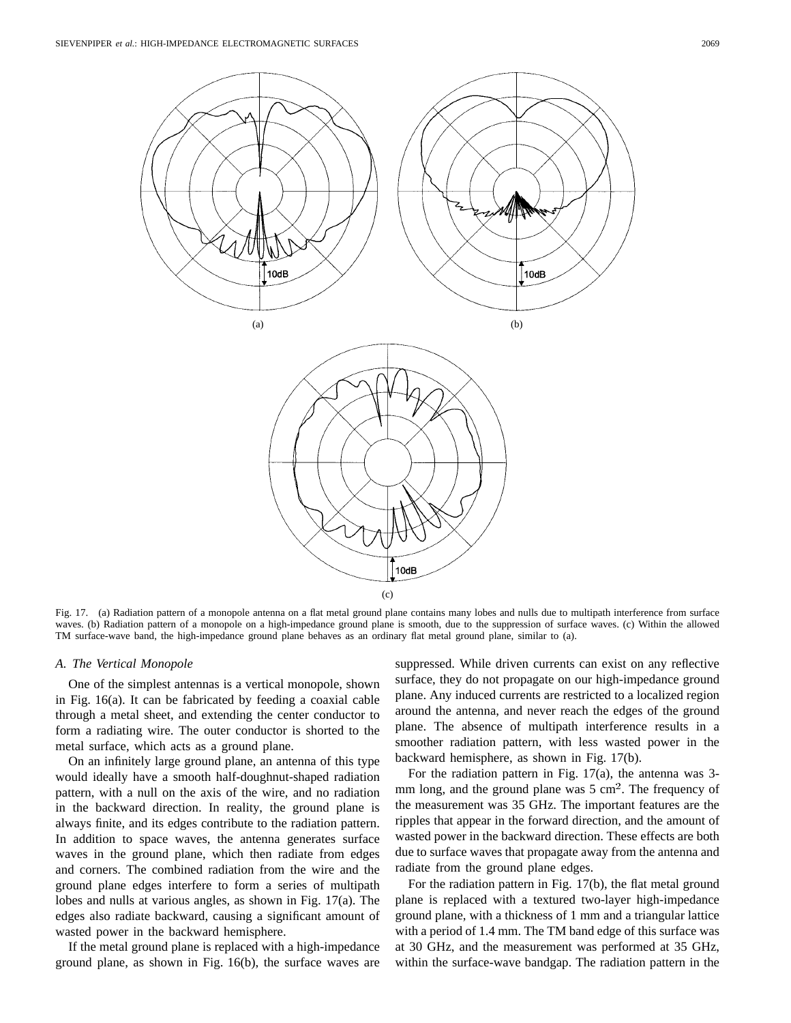

Fig. 17. (a) Radiation pattern of a monopole antenna on a flat metal ground plane contains many lobes and nulls due to multipath interference from surface waves. (b) Radiation pattern of a monopole on a high-impedance ground plane is smooth, due to the suppression of surface waves. (c) Within the allowed TM surface-wave band, the high-impedance ground plane behaves as an ordinary flat metal ground plane, similar to (a).

(c)

#### *A. The Vertical Monopole*

One of the simplest antennas is a vertical monopole, shown in Fig. 16(a). It can be fabricated by feeding a coaxial cable through a metal sheet, and extending the center conductor to form a radiating wire. The outer conductor is shorted to the metal surface, which acts as a ground plane.

On an infinitely large ground plane, an antenna of this type would ideally have a smooth half-doughnut-shaped radiation pattern, with a null on the axis of the wire, and no radiation in the backward direction. In reality, the ground plane is always finite, and its edges contribute to the radiation pattern. In addition to space waves, the antenna generates surface waves in the ground plane, which then radiate from edges and corners. The combined radiation from the wire and the ground plane edges interfere to form a series of multipath lobes and nulls at various angles, as shown in Fig. 17(a). The edges also radiate backward, causing a significant amount of wasted power in the backward hemisphere.

If the metal ground plane is replaced with a high-impedance ground plane, as shown in Fig. 16(b), the surface waves are suppressed. While driven currents can exist on any reflective surface, they do not propagate on our high-impedance ground plane. Any induced currents are restricted to a localized region around the antenna, and never reach the edges of the ground plane. The absence of multipath interference results in a smoother radiation pattern, with less wasted power in the backward hemisphere, as shown in Fig. 17(b).

For the radiation pattern in Fig. 17(a), the antenna was 3 mm long, and the ground plane was  $5 \text{ cm}^2$ . The frequency of the measurement was 35 GHz. The important features are the ripples that appear in the forward direction, and the amount of wasted power in the backward direction. These effects are both due to surface waves that propagate away from the antenna and radiate from the ground plane edges.

For the radiation pattern in Fig. 17(b), the flat metal ground plane is replaced with a textured two-layer high-impedance ground plane, with a thickness of 1 mm and a triangular lattice with a period of 1.4 mm. The TM band edge of this surface was at 30 GHz, and the measurement was performed at 35 GHz, within the surface-wave bandgap. The radiation pattern in the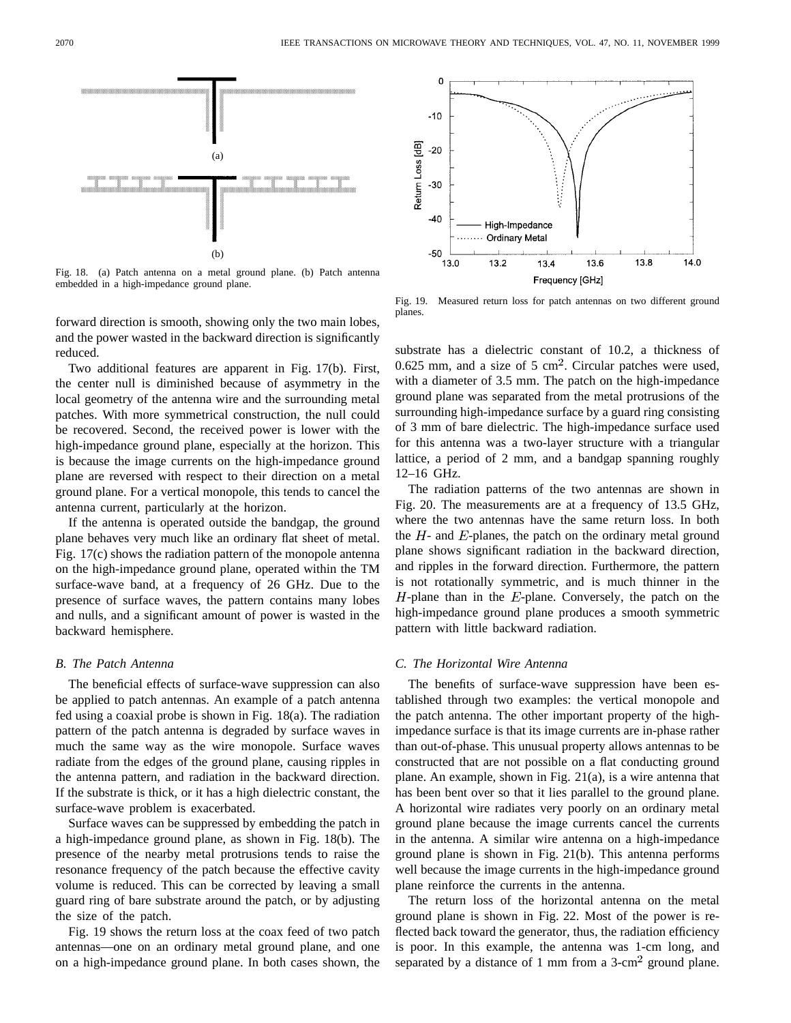

Fig. 18. (a) Patch antenna on a metal ground plane. (b) Patch antenna embedded in a high-impedance ground plane.

forward direction is smooth, showing only the two main lobes, and the power wasted in the backward direction is significantly reduced.

Two additional features are apparent in Fig. 17(b). First, the center null is diminished because of asymmetry in the local geometry of the antenna wire and the surrounding metal patches. With more symmetrical construction, the null could be recovered. Second, the received power is lower with the high-impedance ground plane, especially at the horizon. This is because the image currents on the high-impedance ground plane are reversed with respect to their direction on a metal ground plane. For a vertical monopole, this tends to cancel the antenna current, particularly at the horizon.

If the antenna is operated outside the bandgap, the ground plane behaves very much like an ordinary flat sheet of metal. Fig. 17(c) shows the radiation pattern of the monopole antenna on the high-impedance ground plane, operated within the TM surface-wave band, at a frequency of 26 GHz. Due to the presence of surface waves, the pattern contains many lobes and nulls, and a significant amount of power is wasted in the backward hemisphere.

#### *B. The Patch Antenna*

The beneficial effects of surface-wave suppression can also be applied to patch antennas. An example of a patch antenna fed using a coaxial probe is shown in Fig. 18(a). The radiation pattern of the patch antenna is degraded by surface waves in much the same way as the wire monopole. Surface waves radiate from the edges of the ground plane, causing ripples in the antenna pattern, and radiation in the backward direction. If the substrate is thick, or it has a high dielectric constant, the surface-wave problem is exacerbated.

Surface waves can be suppressed by embedding the patch in a high-impedance ground plane, as shown in Fig. 18(b). The presence of the nearby metal protrusions tends to raise the resonance frequency of the patch because the effective cavity volume is reduced. This can be corrected by leaving a small guard ring of bare substrate around the patch, or by adjusting the size of the patch.

Fig. 19 shows the return loss at the coax feed of two patch antennas—one on an ordinary metal ground plane, and one on a high-impedance ground plane. In both cases shown, the



Fig. 19. Measured return loss for patch antennas on two different ground planes.

substrate has a dielectric constant of 10.2, a thickness of 0.625 mm, and a size of 5 cm<sup>2</sup>. Circular patches were used, with a diameter of 3.5 mm. The patch on the high-impedance ground plane was separated from the metal protrusions of the surrounding high-impedance surface by a guard ring consisting of 3 mm of bare dielectric. The high-impedance surface used for this antenna was a two-layer structure with a triangular lattice, a period of 2 mm, and a bandgap spanning roughly 12–16 GHz.

The radiation patterns of the two antennas are shown in Fig. 20. The measurements are at a frequency of 13.5 GHz, where the two antennas have the same return loss. In both the  $H$ - and  $E$ -planes, the patch on the ordinary metal ground plane shows significant radiation in the backward direction, and ripples in the forward direction. Furthermore, the pattern is not rotationally symmetric, and is much thinner in the  $H$ -plane than in the  $E$ -plane. Conversely, the patch on the high-impedance ground plane produces a smooth symmetric pattern with little backward radiation.

#### *C. The Horizontal Wire Antenna*

The benefits of surface-wave suppression have been established through two examples: the vertical monopole and the patch antenna. The other important property of the highimpedance surface is that its image currents are in-phase rather than out-of-phase. This unusual property allows antennas to be constructed that are not possible on a flat conducting ground plane. An example, shown in Fig. 21(a), is a wire antenna that has been bent over so that it lies parallel to the ground plane. A horizontal wire radiates very poorly on an ordinary metal ground plane because the image currents cancel the currents in the antenna. A similar wire antenna on a high-impedance ground plane is shown in Fig. 21(b). This antenna performs well because the image currents in the high-impedance ground plane reinforce the currents in the antenna.

The return loss of the horizontal antenna on the metal ground plane is shown in Fig. 22. Most of the power is reflected back toward the generator, thus, the radiation efficiency is poor. In this example, the antenna was 1-cm long, and separated by a distance of 1 mm from a  $3$ -cm<sup>2</sup> ground plane.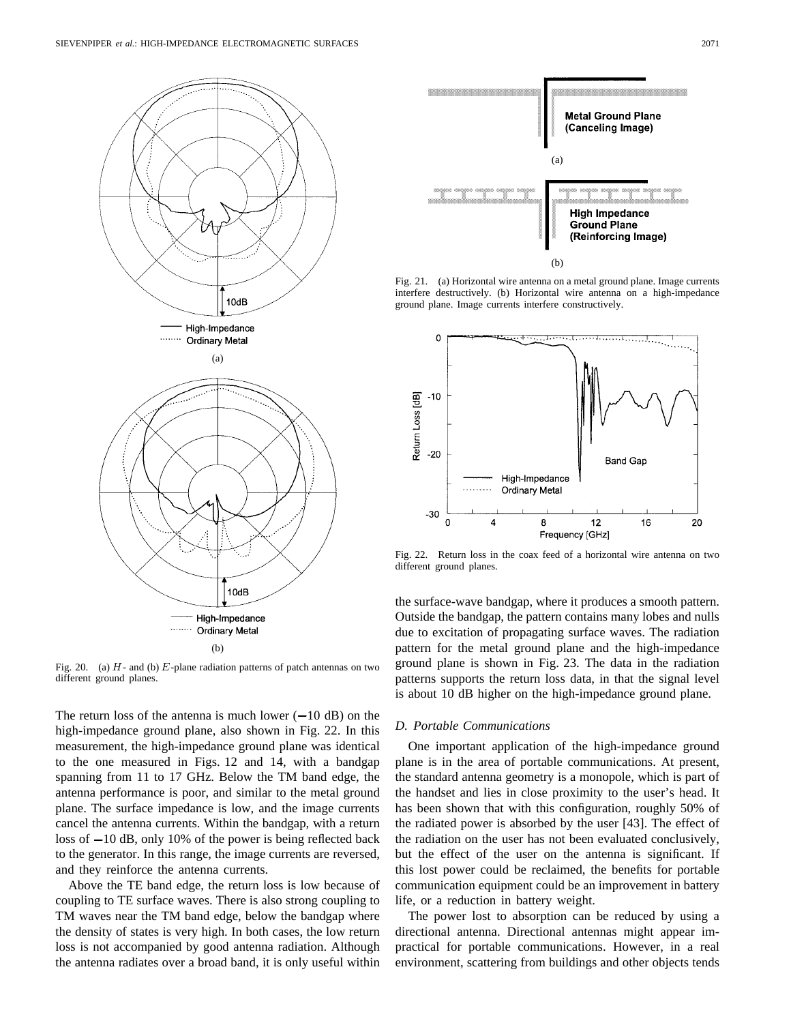

Fig. 20. (a)  $H$ - and (b)  $E$ -plane radiation patterns of patch antennas on two different ground planes.

The return loss of the antenna is much lower  $(-10 \text{ dB})$  on the high-impedance ground plane, also shown in Fig. 22. In this measurement, the high-impedance ground plane was identical to the one measured in Figs. 12 and 14, with a bandgap spanning from 11 to 17 GHz. Below the TM band edge, the antenna performance is poor, and similar to the metal ground plane. The surface impedance is low, and the image currents cancel the antenna currents. Within the bandgap, with a return loss of  $-10$  dB, only 10% of the power is being reflected back to the generator. In this range, the image currents are reversed, and they reinforce the antenna currents.

Above the TE band edge, the return loss is low because of coupling to TE surface waves. There is also strong coupling to TM waves near the TM band edge, below the bandgap where the density of states is very high. In both cases, the low return loss is not accompanied by good antenna radiation. Although the antenna radiates over a broad band, it is only useful within



Fig. 21. (a) Horizontal wire antenna on a metal ground plane. Image currents interfere destructively. (b) Horizontal wire antenna on a high-impedance ground plane. Image currents interfere constructively.



Fig. 22. Return loss in the coax feed of a horizontal wire antenna on two different ground planes.

the surface-wave bandgap, where it produces a smooth pattern. Outside the bandgap, the pattern contains many lobes and nulls due to excitation of propagating surface waves. The radiation pattern for the metal ground plane and the high-impedance ground plane is shown in Fig. 23. The data in the radiation patterns supports the return loss data, in that the signal level is about 10 dB higher on the high-impedance ground plane.

#### *D. Portable Communications*

One important application of the high-impedance ground plane is in the area of portable communications. At present, the standard antenna geometry is a monopole, which is part of the handset and lies in close proximity to the user's head. It has been shown that with this configuration, roughly 50% of the radiated power is absorbed by the user [43]. The effect of the radiation on the user has not been evaluated conclusively, but the effect of the user on the antenna is significant. If this lost power could be reclaimed, the benefits for portable communication equipment could be an improvement in battery life, or a reduction in battery weight.

The power lost to absorption can be reduced by using a directional antenna. Directional antennas might appear impractical for portable communications. However, in a real environment, scattering from buildings and other objects tends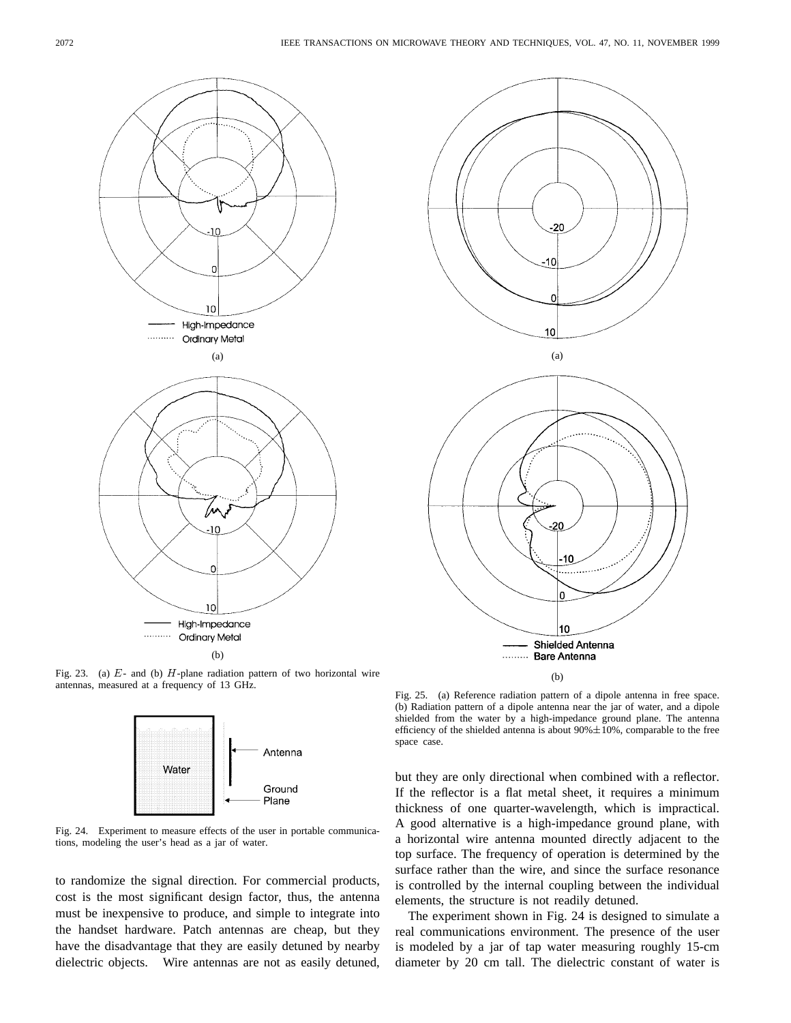

Fig. 23. (a)  $E$ - and (b)  $H$ -plane radiation pattern of two horizontal wire antennas, measured at a frequency of 13 GHz.



Fig. 24. Experiment to measure effects of the user in portable communications, modeling the user's head as a jar of water.

to randomize the signal direction. For commercial products, cost is the most significant design factor, thus, the antenna must be inexpensive to produce, and simple to integrate into the handset hardware. Patch antennas are cheap, but they have the disadvantage that they are easily detuned by nearby dielectric objects. Wire antennas are not as easily detuned,



Fig. 25. (a) Reference radiation pattern of a dipole antenna in free space. (b) Radiation pattern of a dipole antenna near the jar of water, and a dipole shielded from the water by a high-impedance ground plane. The antenna efficiency of the shielded antenna is about  $90\% \pm 10\%$ , comparable to the free space case.

but they are only directional when combined with a reflector. If the reflector is a flat metal sheet, it requires a minimum thickness of one quarter-wavelength, which is impractical. A good alternative is a high-impedance ground plane, with a horizontal wire antenna mounted directly adjacent to the top surface. The frequency of operation is determined by the surface rather than the wire, and since the surface resonance is controlled by the internal coupling between the individual elements, the structure is not readily detuned.

The experiment shown in Fig. 24 is designed to simulate a real communications environment. The presence of the user is modeled by a jar of tap water measuring roughly 15-cm diameter by 20 cm tall. The dielectric constant of water is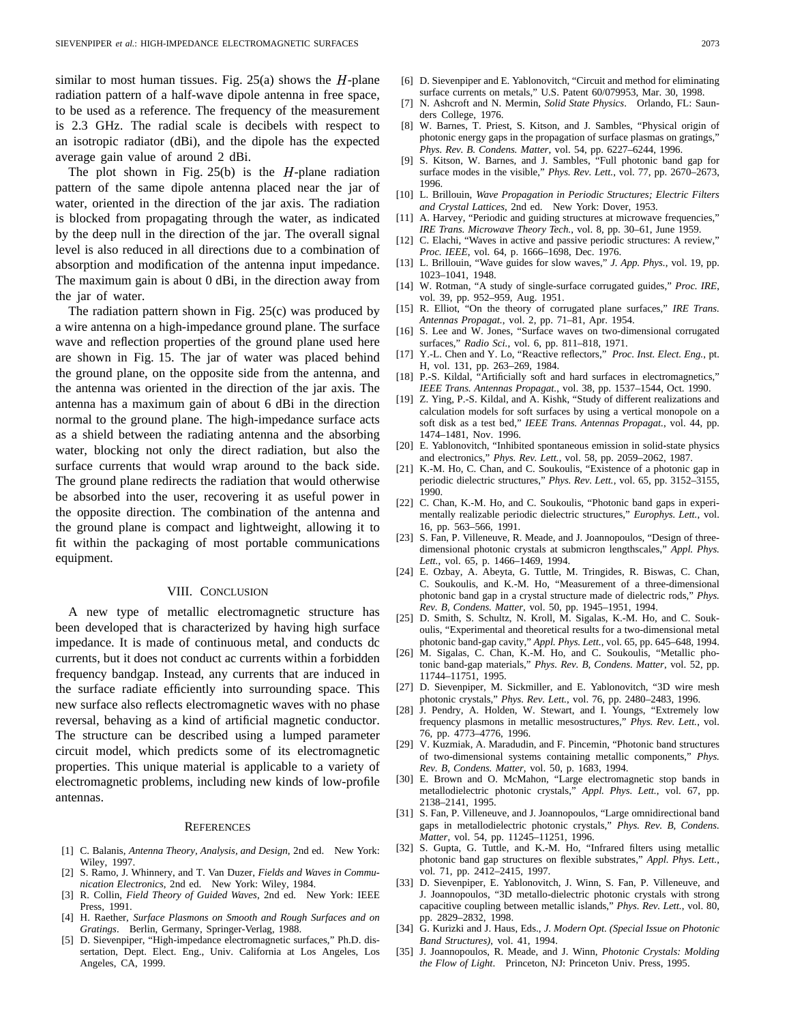similar to most human tissues. Fig. 25(a) shows the  $H$ -plane radiation pattern of a half-wave dipole antenna in free space, to be used as a reference. The frequency of the measurement is 2.3 GHz. The radial scale is decibels with respect to an isotropic radiator (dBi), and the dipole has the expected average gain value of around 2 dBi.

The plot shown in Fig. 25(b) is the  $H$ -plane radiation pattern of the same dipole antenna placed near the jar of water, oriented in the direction of the jar axis. The radiation is blocked from propagating through the water, as indicated by the deep null in the direction of the jar. The overall signal level is also reduced in all directions due to a combination of absorption and modification of the antenna input impedance. The maximum gain is about 0 dBi, in the direction away from the jar of water.

The radiation pattern shown in Fig. 25(c) was produced by a wire antenna on a high-impedance ground plane. The surface wave and reflection properties of the ground plane used here are shown in Fig. 15. The jar of water was placed behind the ground plane, on the opposite side from the antenna, and the antenna was oriented in the direction of the jar axis. The antenna has a maximum gain of about 6 dBi in the direction normal to the ground plane. The high-impedance surface acts as a shield between the radiating antenna and the absorbing water, blocking not only the direct radiation, but also the surface currents that would wrap around to the back side. The ground plane redirects the radiation that would otherwise be absorbed into the user, recovering it as useful power in the opposite direction. The combination of the antenna and the ground plane is compact and lightweight, allowing it to fit within the packaging of most portable communications equipment.

## VIII. CONCLUSION

A new type of metallic electromagnetic structure has been developed that is characterized by having high surface impedance. It is made of continuous metal, and conducts dc currents, but it does not conduct ac currents within a forbidden frequency bandgap. Instead, any currents that are induced in the surface radiate efficiently into surrounding space. This new surface also reflects electromagnetic waves with no phase reversal, behaving as a kind of artificial magnetic conductor. The structure can be described using a lumped parameter circuit model, which predicts some of its electromagnetic properties. This unique material is applicable to a variety of electromagnetic problems, including new kinds of low-profile antennas.

#### **REFERENCES**

- [1] C. Balanis, *Antenna Theory, Analysis, and Design*, 2nd ed. New York: Wiley, 1997.
- [2] S. Ramo, J. Whinnery, and T. Van Duzer, *Fields and Waves in Communication Electronics*, 2nd ed. New York: Wiley, 1984.
- [3] R. Collin, *Field Theory of Guided Waves*, 2nd ed. New York: IEEE Press, 1991.
- [4] H. Raether, *Surface Plasmons on Smooth and Rough Surfaces and on Gratings*. Berlin, Germany, Springer-Verlag, 1988.
- [5] D. Sievenpiper, "High-impedance electromagnetic surfaces," Ph.D. dissertation, Dept. Elect. Eng., Univ. California at Los Angeles, Los Angeles, CA, 1999.
- [6] D. Sievenpiper and E. Yablonovitch, "Circuit and method for eliminating
- surface currents on metals," U.S. Patent 60/079953, Mar. 30, 1998. [7] N. Ashcroft and N. Mermin, *Solid State Physics*. Orlando, FL: Saun-
- ders College, 1976. [8] W. Barnes, T. Priest, S. Kitson, and J. Sambles, "Physical origin of photonic energy gaps in the propagation of surface plasmas on gratings," *Phys. Rev. B. Condens. Matter*, vol. 54, pp. 6227–6244, 1996.
- [9] S. Kitson, W. Barnes, and J. Sambles, "Full photonic band gap for surface modes in the visible," *Phys. Rev. Lett.*, vol. 77, pp. 2670–2673, 1996.
- [10] L. Brillouin, *Wave Propagation in Periodic Structures; Electric Filters and Crystal Lattices*, 2nd ed. New York: Dover, 1953.
- [11] A. Harvey, "Periodic and guiding structures at microwave frequencies," *IRE Trans. Microwave Theory Tech.*, vol. 8, pp. 30–61, June 1959.
- [12] C. Elachi, "Waves in active and passive periodic structures: A review," *Proc. IEEE*, vol. 64, p. 1666–1698, Dec. 1976.
- [13] L. Brillouin, "Wave guides for slow waves," *J. App. Phys.*, vol. 19, pp. 1023–1041, 1948.
- [14] W. Rotman, "A study of single-surface corrugated guides," *Proc. IRE*, vol. 39, pp. 952–959, Aug. 1951.
- [15] R. Elliot, "On the theory of corrugated plane surfaces," *IRE Trans. Antennas Propagat.*, vol. 2, pp. 71–81, Apr. 1954.
- [16] S. Lee and W. Jones, "Surface waves on two-dimensional corrugated surfaces," *Radio Sci.*, vol. 6, pp. 811–818, 1971.
- [17] Y.-L. Chen and Y. Lo, "Reactive reflectors," *Proc. Inst. Elect. Eng.*, pt. H, vol. 131, pp. 263–269, 1984.
- [18] P.-S. Kildal, "Artificially soft and hard surfaces in electromagnetics," *IEEE Trans. Antennas Propagat.*, vol. 38, pp. 1537–1544, Oct. 1990.
- [19] Z. Ying, P.-S. Kildal, and A. Kishk, "Study of different realizations and calculation models for soft surfaces by using a vertical monopole on a soft disk as a test bed," *IEEE Trans. Antennas Propagat.*, vol. 44, pp. 1474–1481, Nov. 1996.
- [20] E. Yablonovitch, "Inhibited spontaneous emission in solid-state physics and electronics," *Phys. Rev. Lett.*, vol. 58, pp. 2059–2062, 1987.
- [21] K.-M. Ho, C. Chan, and C. Soukoulis, "Existence of a photonic gap in periodic dielectric structures," *Phys. Rev. Lett.*, vol. 65, pp. 3152–3155, 1990.
- [22] C. Chan, K.-M. Ho, and C. Soukoulis, "Photonic band gaps in experimentally realizable periodic dielectric structures," *Europhys. Lett.*, vol. 16, pp. 563–566, 1991.
- [23] S. Fan, P. Villeneuve, R. Meade, and J. Joannopoulos, "Design of threedimensional photonic crystals at submicron lengthscales," *Appl. Phys. Lett.*, vol. 65, p. 1466–1469, 1994.
- [24] E. Ozbay, A. Abeyta, G. Tuttle, M. Tringides, R. Biswas, C. Chan, C. Soukoulis, and K.-M. Ho, "Measurement of a three-dimensional photonic band gap in a crystal structure made of dielectric rods," *Phys. Rev. B, Condens. Matter*, vol. 50, pp. 1945–1951, 1994.
- [25] D. Smith, S. Schultz, N. Kroll, M. Sigalas, K.-M. Ho, and C. Soukoulis, "Experimental and theoretical results for a two-dimensional metal photonic band-gap cavity," *Appl. Phys. Lett.*, vol. 65, pp. 645–648, 1994.
- [26] M. Sigalas, C. Chan, K.-M. Ho, and C. Soukoulis, "Metallic photonic band-gap materials," *Phys. Rev. B, Condens. Matter*, vol. 52, pp. 11744–11751, 1995.
- [27] D. Sievenpiper, M. Sickmiller, and E. Yablonovitch, "3D wire mesh photonic crystals," *Phys. Rev. Lett.*, vol. 76, pp. 2480–2483, 1996.
- [28] J. Pendry, A. Holden, W. Stewart, and I. Youngs, "Extremely low frequency plasmons in metallic mesostructures," *Phys. Rev. Lett.*, vol. 76, pp. 4773–4776, 1996.
- [29] V. Kuzmiak, A. Maradudin, and F. Pincemin, "Photonic band structures of two-dimensional systems containing metallic components," *Phys. Rev. B, Condens. Matter*, vol. 50, p. 1683, 1994.
- [30] E. Brown and O. McMahon, "Large electromagnetic stop bands in metallodielectric photonic crystals," *Appl. Phys. Lett.*, vol. 67, pp. 2138–2141, 1995.
- [31] S. Fan, P. Villeneuve, and J. Joannopoulos, "Large omnidirectional band gaps in metallodielectric photonic crystals," *Phys. Rev. B, Condens. Matter*, vol. 54, pp. 11245–11251, 1996.
- [32] S. Gupta, G. Tuttle, and K.-M. Ho, "Infrared filters using metallic photonic band gap structures on flexible substrates," *Appl. Phys. Lett.*, vol. 71, pp. 2412–2415, 1997.
- [33] D. Sievenpiper, E. Yablonovitch, J. Winn, S. Fan, P. Villeneuve, and J. Joannopoulos, "3D metallo-dielectric photonic crystals with strong capacitive coupling between metallic islands," *Phys. Rev. Lett.*, vol. 80, pp. 2829–2832, 1998.
- [34] G. Kurizki and J. Haus, Eds., *J. Modern Opt. (Special Issue on Photonic Band Structures)*, vol. 41, 1994.
- [35] J. Joannopoulos, R. Meade, and J. Winn, *Photonic Crystals: Molding the Flow of Light*. Princeton, NJ: Princeton Univ. Press, 1995.